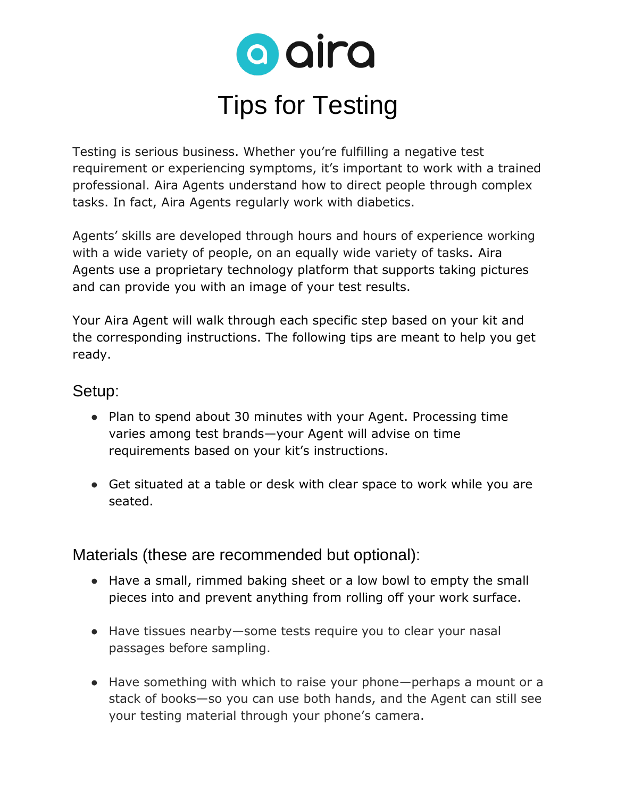

Testing is serious business. Whether you're fulfilling a negative test requirement or experiencing symptoms, it's important to work with a trained professional. Aira Agents understand how to direct people through complex tasks. In fact, Aira Agents regularly work with diabetics.

Agents' skills are developed through hours and hours of experience working with a wide variety of people, on an equally wide variety of tasks. Aira Agents use a proprietary technology platform that supports taking pictures and can provide you with an image of your test results.

Your Aira Agent will walk through each specific step based on your kit and the corresponding instructions. The following tips are meant to help you get ready.

## Setup:

- Plan to spend about 30 minutes with your Agent. Processing time varies among test brands—your Agent will advise on time requirements based on your kit's instructions.
- Get situated at a table or desk with clear space to work while you are seated.

Materials (these are recommended but optional):

- Have a small, rimmed baking sheet or a low bowl to empty the small pieces into and prevent anything from rolling off your work surface.
- Have tissues nearby—some tests require you to clear your nasal passages before sampling.
- Have something with which to raise your phone—perhaps a mount or a stack of books—so you can use both hands, and the Agent can still see your testing material through your phone's camera.